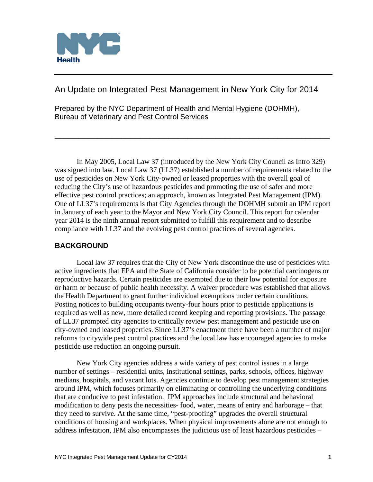

An Update on Integrated Pest Management in New York City for 2014

Prepared by the NYC Department of Health and Mental Hygiene (DOHMH), Bureau of Veterinary and Pest Control Services

 In May 2005, Local Law 37 (introduced by the New York City Council as Intro 329) was signed into law. Local Law 37 (LL37) established a number of requirements related to the use of pesticides on New York City-owned or leased properties with the overall goal of reducing the City's use of hazardous pesticides and promoting the use of safer and more effective pest control practices; an approach, known as Integrated Pest Management (IPM). One of LL37's requirements is that City Agencies through the DOHMH submit an IPM report in January of each year to the Mayor and New York City Council. This report for calendar year 2014 is the ninth annual report submitted to fulfill this requirement and to describe compliance with LL37 and the evolving pest control practices of several agencies.

\_\_\_\_\_\_\_\_\_\_\_\_\_\_\_\_\_\_\_\_\_\_\_\_\_\_\_\_\_\_\_\_\_\_\_\_\_\_\_\_\_\_\_\_\_\_\_\_\_\_\_\_\_\_\_\_\_\_

# **BACKGROUND**

 Local law 37 requires that the City of New York discontinue the use of pesticides with active ingredients that EPA and the State of California consider to be potential carcinogens or reproductive hazards. Certain pesticides are exempted due to their low potential for exposure or harm or because of public health necessity. A waiver procedure was established that allows the Health Department to grant further individual exemptions under certain conditions. Posting notices to building occupants twenty-four hours prior to pesticide applications is required as well as new, more detailed record keeping and reporting provisions. The passage of LL37 prompted city agencies to critically review pest management and pesticide use on city-owned and leased properties. Since LL37's enactment there have been a number of major reforms to citywide pest control practices and the local law has encouraged agencies to make pesticide use reduction an ongoing pursuit.

 New York City agencies address a wide variety of pest control issues in a large number of settings – residential units, institutional settings, parks, schools, offices, highway medians, hospitals, and vacant lots. Agencies continue to develop pest management strategies around IPM, which focuses primarily on eliminating or controlling the underlying conditions that are conducive to pest infestation. IPM approaches include structural and behavioral modification to deny pests the necessities- food, water, means of entry and harborage – that they need to survive. At the same time, "pest-proofing" upgrades the overall structural conditions of housing and workplaces. When physical improvements alone are not enough to address infestation, IPM also encompasses the judicious use of least hazardous pesticides –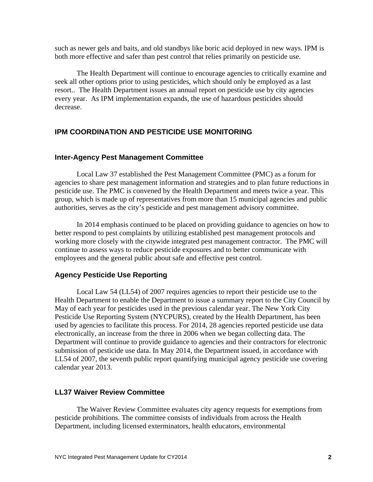such as newer gels and baits, and old standbys like boric acid deployed in new ways. IPM is both more effective and safer than pest control that relies primarily on pesticide use.

 The Health Department will continue to encourage agencies to critically examine and seek all other options prior to using pesticides, which should only be employed as a last resort.. The Health Department issues an annual report on pesticide use by city agencies every year. As IPM implementation expands, the use of hazardous pesticides should decrease.

### **IPM COORDINATION AND PESTICIDE USE MONITORING**

#### **Inter-Agency Pest Management Committee**

Local Law 37 established the Pest Management Committee (PMC) as a forum for agencies to share pest management information and strategies and to plan future reductions in pesticide use. The PMC is convened by the Health Department and meets twice a year. This group, which is made up of representatives from more than 15 municipal agencies and public authorities, serves as the city's pesticide and pest management advisory committee.

 In 2014 emphasis continued to be placed on providing guidance to agencies on how to better respond to pest complaints by utilizing established pest management protocols and working more closely with the citywide integrated pest management contractor. The PMC will continue to assess ways to reduce pesticide exposures and to better communicate with employees and the general public about safe and effective pest control.

#### **Agency Pesticide Use Reporting**

Local Law 54 (LL54) of 2007 requires agencies to report their pesticide use to the Health Department to enable the Department to issue a summary report to the City Council by May of each year for pesticides used in the previous calendar year. The New York City Pesticide Use Reporting System (NYCPURS), created by the Health Department, has been used by agencies to facilitate this process. For 2014, 28 agencies reported pesticide use data electronically, an increase from the three in 2006 when we began collecting data. The Department will continue to provide guidance to agencies and their contractors for electronic submission of pesticide use data. In May 2014, the Department issued, in accordance with LL54 of 2007, the seventh public report quantifying municipal agency pesticide use covering calendar year 2013.

#### **LL37 Waiver Review Committee**

 The Waiver Review Committee evaluates city agency requests for exemptions from pesticide prohibitions. The committee consists of individuals from across the Health Department, including licensed exterminators, health educators, environmental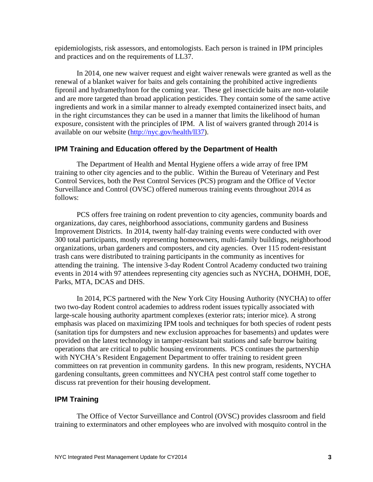epidemiologists, risk assessors, and entomologists. Each person is trained in IPM principles and practices and on the requirements of LL37.

 In 2014, one new waiver request and eight waiver renewals were granted as well as the renewal of a blanket waiver for baits and gels containing the prohibited active ingredients fipronil and hydramethylnon for the coming year. These gel insecticide baits are non-volatile and are more targeted than broad application pesticides. They contain some of the same active ingredients and work in a similar manner to already exempted containerized insect baits, and in the right circumstances they can be used in a manner that limits the likelihood of human exposure, consistent with the principles of IPM. A list of waivers granted through 2014 is available on our website (http://nyc.gov/health/ll37).

#### **IPM Training and Education offered by the Department of Health**

 The Department of Health and Mental Hygiene offers a wide array of free IPM training to other city agencies and to the public. Within the Bureau of Veterinary and Pest Control Services, both the Pest Control Services (PCS) program and the Office of Vector Surveillance and Control (OVSC) offered numerous training events throughout 2014 as follows:

PCS offers free training on rodent prevention to city agencies, community boards and organizations, day cares, neighborhood associations, community gardens and Business Improvement Districts. In 2014, twenty half-day training events were conducted with over 300 total participants, mostly representing homeowners, multi-family buildings, neighborhood organizations, urban gardeners and composters, and city agencies. Over 115 rodent-resistant trash cans were distributed to training participants in the community as incentives for attending the training. The intensive 3-day Rodent Control Academy conducted two training events in 2014 with 97 attendees representing city agencies such as NYCHA, DOHMH, DOE, Parks, MTA, DCAS and DHS.

In 2014, PCS partnered with the New York City Housing Authority (NYCHA) to offer two two-day Rodent control academies to address rodent issues typically associated with large-scale housing authority apartment complexes (exterior rats; interior mice). A strong emphasis was placed on maximizing IPM tools and techniques for both species of rodent pests (sanitation tips for dumpsters and new exclusion approaches for basements) and updates were provided on the latest technology in tamper-resistant bait stations and safe burrow baiting operations that are critical to public housing environments. PCS continues the partnership with NYCHA's Resident Engagement Department to offer training to resident green committees on rat prevention in community gardens. In this new program, residents, NYCHA gardening consultants, green committees and NYCHA pest control staff come together to discuss rat prevention for their housing development.

### **IPM Training**

The Office of Vector Surveillance and Control (OVSC) provides classroom and field training to exterminators and other employees who are involved with mosquito control in the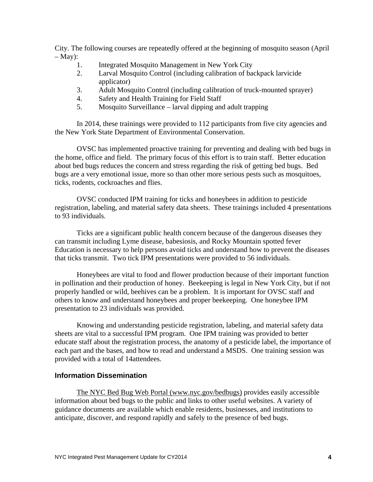City. The following courses are repeatedly offered at the beginning of mosquito season (April  $-$  May):

- 1. Integrated Mosquito Management in New York City
- 2. Larval Mosquito Control (including calibration of backpack larvicide applicator)
- 3. Adult Mosquito Control (including calibration of truck-mounted sprayer)
- 4. Safety and Health Training for Field Staff
- 5. Mosquito Surveillance larval dipping and adult trapping

In 2014, these trainings were provided to 112 participants from five city agencies and the New York State Department of Environmental Conservation.

OVSC has implemented proactive training for preventing and dealing with bed bugs in the home, office and field. The primary focus of this effort is to train staff. Better education about bed bugs reduces the concern and stress regarding the risk of getting bed bugs. Bed bugs are a very emotional issue, more so than other more serious pests such as mosquitoes, ticks, rodents, cockroaches and flies.

OVSC conducted IPM training for ticks and honeybees in addition to pesticide registration, labeling, and material safety data sheets. These trainings included 4 presentations to 93 individuals.

Ticks are a significant public health concern because of the dangerous diseases they can transmit including Lyme disease, babesiosis, and Rocky Mountain spotted fever Education is necessary to help persons avoid ticks and understand how to prevent the diseases that ticks transmit. Two tick IPM presentations were provided to 56 individuals.

Honeybees are vital to food and flower production because of their important function in pollination and their production of honey. Beekeeping is legal in New York City, but if not properly handled or wild, beehives can be a problem. It is important for OVSC staff and others to know and understand honeybees and proper beekeeping. One honeybee IPM presentation to 23 individuals was provided.

 Knowing and understanding pesticide registration, labeling, and material safety data sheets are vital to a successful IPM program. One IPM training was provided to better educate staff about the registration process, the anatomy of a pesticide label, the importance of each part and the bases, and how to read and understand a MSDS. One training session was provided with a total of 14attendees.

#### **Information Dissemination**

The NYC Bed Bug Web Portal (www.nyc.gov/bedbugs) provides easily accessible information about bed bugs to the public and links to other useful websites. A variety of guidance documents are available which enable residents, businesses, and institutions to anticipate, discover, and respond rapidly and safely to the presence of bed bugs.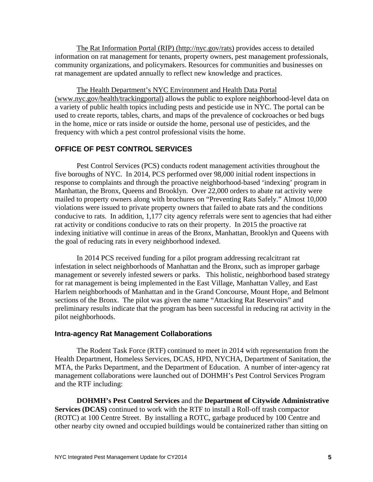The Rat Information Portal (RIP) (http://nyc.gov/rats) provides access to detailed information on rat management for tenants, property owners, pest management professionals, community organizations, and policymakers. Resources for communities and businesses on rat management are updated annually to reflect new knowledge and practices.

The Health Department's NYC Environment and Health Data Portal (www.nyc.gov/health/trackingportal) allows the public to explore neighborhood-level data on a variety of public health topics including pests and pesticide use in NYC. The portal can be used to create reports, tables, charts, and maps of the prevalence of cockroaches or bed bugs in the home, mice or rats inside or outside the home, personal use of pesticides, and the frequency with which a pest control professional visits the home.

## **OFFICE OF PEST CONTROL SERVICES**

 Pest Control Services (PCS) conducts rodent management activities throughout the five boroughs of NYC. In 2014, PCS performed over 98,000 initial rodent inspections in response to complaints and through the proactive neighborhood-based 'indexing' program in Manhattan, the Bronx, Queens and Brooklyn. Over 22,000 orders to abate rat activity were mailed to property owners along with brochures on "Preventing Rats Safely." Almost 10,000 violations were issued to private property owners that failed to abate rats and the conditions conducive to rats. In addition, 1,177 city agency referrals were sent to agencies that had either rat activity or conditions conducive to rats on their property. In 2015 the proactive rat indexing initiative will continue in areas of the Bronx, Manhattan, Brooklyn and Queens with the goal of reducing rats in every neighborhood indexed.

In 2014 PCS received funding for a pilot program addressing recalcitrant rat infestation in select neighborhoods of Manhattan and the Bronx, such as improper garbage management or severely infested sewers or parks. This holistic, neighborhood based strategy for rat management is being implemented in the East Village, Manhattan Valley, and East Harlem neighborhoods of Manhattan and in the Grand Concourse, Mount Hope, and Belmont sections of the Bronx. The pilot was given the name "Attacking Rat Reservoirs" and preliminary results indicate that the program has been successful in reducing rat activity in the pilot neighborhoods.

## **Intra-agency Rat Management Collaborations**

The Rodent Task Force (RTF) continued to meet in 2014 with representation from the Health Department, Homeless Services, DCAS, HPD, NYCHA, Department of Sanitation, the MTA, the Parks Department, and the Department of Education. A number of inter-agency rat management collaborations were launched out of DOHMH's Pest Control Services Program and the RTF including:

**DOHMH's Pest Control Services** and the **Department of Citywide Administrative Services (DCAS)** continued to work with the RTF to install a Roll-off trash compactor (ROTC) at 100 Centre Street. By installing a ROTC, garbage produced by 100 Centre and other nearby city owned and occupied buildings would be containerized rather than sitting on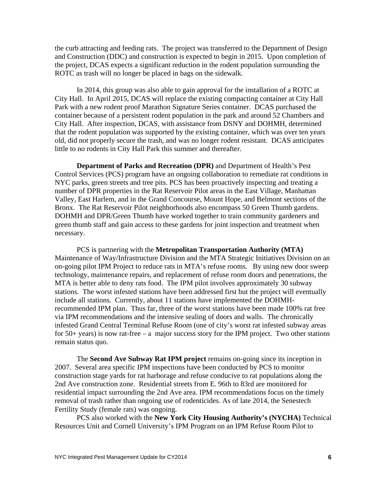the curb attracting and feeding rats. The project was transferred to the Department of Design and Construction (DDC) and construction is expected to begin in 2015. Upon completion of the project, DCAS expects a significant reduction in the rodent population surrounding the ROTC as trash will no longer be placed in bags on the sidewalk.

In 2014, this group was also able to gain approval for the installation of a ROTC at City Hall. In April 2015, DCAS will replace the existing compacting container at City Hall Park with a new rodent proof Marathon Signature Series container. DCAS purchased the container because of a persistent rodent population in the park and around 52 Chambers and City Hall. After inspection, DCAS, with assistance from DSNY and DOHMH, determined that the rodent population was supported by the existing container, which was over ten years old, did not properly secure the trash, and was no longer rodent resistant. DCAS anticipates little to no rodents in City Hall Park this summer and thereafter.

**Department of Parks and Recreation (DPR)** and Department of Health's Pest Control Services (PCS) program have an ongoing collaboration to remediate rat conditions in NYC parks, green streets and tree pits. PCS has been proactively inspecting and treating a number of DPR properties in the Rat Reservoir Pilot areas in the East Village, Manhattan Valley, East Harlem, and in the Grand Concourse, Mount Hope, and Belmont sections of the Bronx. The Rat Reservoir Pilot neighborhoods also encompass 50 Green Thumb gardens. DOHMH and DPR/Green Thumb have worked together to train community gardeners and green thumb staff and gain access to these gardens for joint inspection and treatment when necessary.

PCS is partnering with the **Metropolitan Transportation Authority (MTA)** Maintenance of Way/Infrastructure Division and the MTA Strategic Initiatives Division on an on-going pilot IPM Project to reduce rats in MTA's refuse rooms. By using new door sweep technology, maintenance repairs, and replacement of refuse room doors and penetrations, the MTA is better able to deny rats food. The IPM pilot involves approximately 30 subway stations. The worst infested stations have been addressed first but the project will eventually include all stations. Currently, about 11 stations have implemented the DOHMHrecommended IPM plan. Thus far, three of the worst stations have been made 100% rat free via IPM recommendations and the intensive sealing of doors and walls. The chronically infested Grand Central Terminal Refuse Room (one of city's worst rat infested subway areas for 50+ years) is now rat-free – a major success story for the IPM project. Two other stations remain status quo.

The **Second Ave Subway Rat IPM project** remains on-going since its inception in 2007. Several area specific IPM inspections have been conducted by PCS to monitor construction stage yards for rat harborage and refuse conducive to rat populations along the 2nd Ave construction zone. Residential streets from E. 96th to 83rd are monitored for residential impact surrounding the 2nd Ave area. IPM recommendations focus on the timely removal of trash rather than ongoing use of rodenticides. As of late 2014, the Senestech Fertility Study (female rats) was ongoing.

PCS also worked with the **New York City Housing Authority's (NYCHA)** Technical Resources Unit and Cornell University's IPM Program on an IPM Refuse Room Pilot to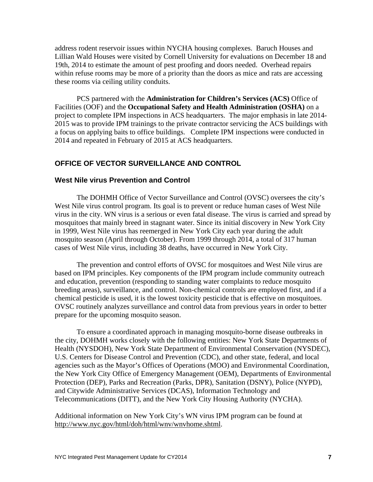address rodent reservoir issues within NYCHA housing complexes. Baruch Houses and Lillian Wald Houses were visited by Cornell University for evaluations on December 18 and 19th, 2014 to estimate the amount of pest proofing and doors needed. Overhead repairs within refuse rooms may be more of a priority than the doors as mice and rats are accessing these rooms via ceiling utility conduits.

PCS partnered with the **Administration for Children's Services (ACS)** Office of Facilities (OOF) and the **Occupational Safety and Health Administration (OSHA)** on a project to complete IPM inspections in ACS headquarters. The major emphasis in late 2014- 2015 was to provide IPM trainings to the private contractor servicing the ACS buildings with a focus on applying baits to office buildings. Complete IPM inspections were conducted in 2014 and repeated in February of 2015 at ACS headquarters.

### **OFFICE OF VECTOR SURVEILLANCE AND CONTROL**

#### **West Nile virus Prevention and Control**

The DOHMH Office of Vector Surveillance and Control (OVSC) oversees the city's West Nile virus control program. Its goal is to prevent or reduce human cases of West Nile virus in the city. WN virus is a serious or even fatal disease. The virus is carried and spread by mosquitoes that mainly breed in stagnant water. Since its initial discovery in New York City in 1999, West Nile virus has reemerged in New York City each year during the adult mosquito season (April through October). From 1999 through 2014, a total of 317 human cases of West Nile virus, including 38 deaths, have occurred in New York City.

The prevention and control efforts of OVSC for mosquitoes and West Nile virus are based on IPM principles. Key components of the IPM program include community outreach and education, prevention (responding to standing water complaints to reduce mosquito breeding areas), surveillance, and control. Non-chemical controls are employed first, and if a chemical pesticide is used, it is the lowest toxicity pesticide that is effective on mosquitoes. OVSC routinely analyzes surveillance and control data from previous years in order to better prepare for the upcoming mosquito season.

To ensure a coordinated approach in managing mosquito-borne disease outbreaks in the city, DOHMH works closely with the following entities: New York State Departments of Health (NYSDOH), New York State Department of Environmental Conservation (NYSDEC), U.S. Centers for Disease Control and Prevention (CDC), and other state, federal, and local agencies such as the Mayor's Offices of Operations (MOO) and Environmental Coordination, the New York City Office of Emergency Management (OEM), Departments of Environmental Protection (DEP), Parks and Recreation (Parks, DPR), Sanitation (DSNY), Police (NYPD), and Citywide Administrative Services (DCAS), Information Technology and Telecommunications (DITT), and the New York City Housing Authority (NYCHA).

Additional information on New York City's WN virus IPM program can be found at http://www.nyc.gov/html/doh/html/wnv/wnvhome.shtml.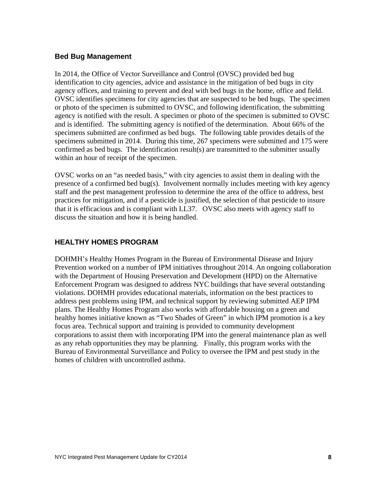## **Bed Bug Management**

In 2014, the Office of Vector Surveillance and Control (OVSC) provided bed bug identification to city agencies, advice and assistance in the mitigation of bed bugs in city agency offices, and training to prevent and deal with bed bugs in the home, office and field. OVSC identifies specimens for city agencies that are suspected to be bed bugs. The specimen or photo of the specimen is submitted to OVSC, and following identification, the submitting agency is notified with the result. A specimen or photo of the specimen is submitted to OVSC and is identified. The submitting agency is notified of the determination. About 66% of the specimens submitted are confirmed as bed bugs. The following table provides details of the specimens submitted in 2014. During this time, 267 specimens were submitted and 175 were confirmed as bed bugs. The identification result(s) are transmitted to the submitter usually within an hour of receipt of the specimen.

OVSC works on an "as needed basis," with city agencies to assist them in dealing with the presence of a confirmed bed bug(s). Involvement normally includes meeting with key agency staff and the pest management profession to determine the area of the office to address, best practices for mitigation, and if a pesticide is justified, the selection of that pesticide to insure that it is efficacious and is compliant with LL37. OVSC also meets with agency staff to discuss the situation and how it is being handled.

# **HEALTHY HOMES PROGRAM**

DOHMH's Healthy Homes Program in the Bureau of Environmental Disease and Injury Prevention worked on a number of IPM initiatives throughout 2014. An ongoing collaboration with the Department of Housing Preservation and Development (HPD) on the Alternative Enforcement Program was designed to address NYC buildings that have several outstanding violations. DOHMH provides educational materials, information on the best practices to address pest problems using IPM, and technical support by reviewing submitted AEP IPM plans. The Healthy Homes Program also works with affordable housing on a green and healthy homes initiative known as "Two Shades of Green" in which IPM promotion is a key focus area. Technical support and training is provided to community development corporations to assist them with incorporating IPM into the general maintenance plan as well as any rehab opportunities they may be planning. Finally, this program works with the Bureau of Environmental Surveillance and Policy to oversee the IPM and pest study in the homes of children with uncontrolled asthma.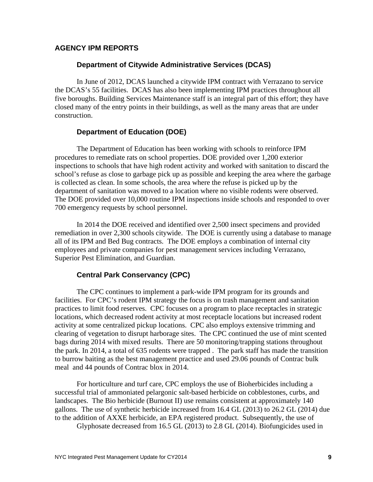### **AGENCY IPM REPORTS**

#### **Department of Citywide Administrative Services (DCAS)**

In June of 2012, DCAS launched a citywide IPM contract with Verrazano to service the DCAS's 55 facilities. DCAS has also been implementing IPM practices throughout all five boroughs. Building Services Maintenance staff is an integral part of this effort; they have closed many of the entry points in their buildings, as well as the many areas that are under construction.

### **Department of Education (DOE)**

 The Department of Education has been working with schools to reinforce IPM procedures to remediate rats on school properties. DOE provided over 1,200 exterior inspections to schools that have high rodent activity and worked with sanitation to discard the school's refuse as close to garbage pick up as possible and keeping the area where the garbage is collected as clean. In some schools, the area where the refuse is picked up by the department of sanitation was moved to a location where no visible rodents were observed. The DOE provided over 10,000 routine IPM inspections inside schools and responded to over 700 emergency requests by school personnel.

 In 2014 the DOE received and identified over 2,500 insect specimens and provided remediation in over 2,300 schools citywide. The DOE is currently using a database to manage all of its IPM and Bed Bug contracts. The DOE employs a combination of internal city employees and private companies for pest management services including Verrazano, Superior Pest Elimination, and Guardian.

## **Central Park Conservancy (CPC)**

The CPC continues to implement a park-wide IPM program for its grounds and facilities. For CPC's rodent IPM strategy the focus is on trash management and sanitation practices to limit food reserves. CPC focuses on a program to place receptacles in strategic locations, which decreased rodent activity at most receptacle locations but increased rodent activity at some centralized pickup locations. CPC also employs extensive trimming and clearing of vegetation to disrupt harborage sites. The CPC continued the use of mint scented bags during 2014 with mixed results. There are 50 monitoring/trapping stations throughout the park. In 2014, a total of 635 rodents were trapped . The park staff has made the transition to burrow baiting as the best management practice and used 29.06 pounds of Contrac bulk meal and 44 pounds of Contrac blox in 2014.

 For horticulture and turf care, CPC employs the use of Bioherbicides including a successful trial of ammoniated pelargonic salt-based herbicide on cobblestones, curbs, and landscapes. The Bio herbicide (Burnout II) use remains consistent at approximately 140 gallons. The use of synthetic herbicide increased from 16.4 GL (2013) to 26.2 GL (2014) due to the addition of AXXE herbicide, an EPA registered product. Subsequently, the use of

Glyphosate decreased from 16.5 GL (2013) to 2.8 GL (2014). Biofungicides used in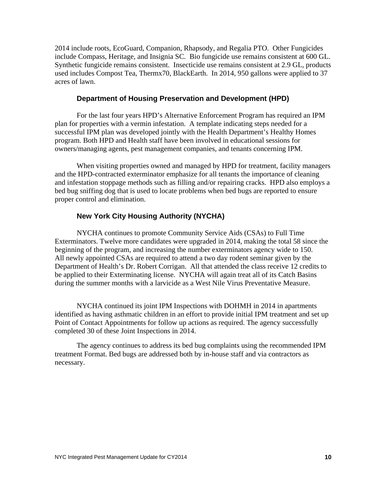2014 include roots, EcoGuard, Companion, Rhapsody, and Regalia PTO. Other Fungicides include Compass, Heritage, and Insignia SC. Bio fungicide use remains consistent at 600 GL. Synthetic fungicide remains consistent. Insecticide use remains consistent at 2.9 GL, products used includes Compost Tea, Thermx70, BlackEarth. In 2014, 950 gallons were applied to 37 acres of lawn.

#### **Department of Housing Preservation and Development (HPD)**

For the last four years HPD's Alternative Enforcement Program has required an IPM plan for properties with a vermin infestation. A template indicating steps needed for a successful IPM plan was developed jointly with the Health Department's Healthy Homes program. Both HPD and Health staff have been involved in educational sessions for owners/managing agents, pest management companies, and tenants concerning IPM.

When visiting properties owned and managed by HPD for treatment, facility managers and the HPD-contracted exterminator emphasize for all tenants the importance of cleaning and infestation stoppage methods such as filling and/or repairing cracks. HPD also employs a bed bug sniffing dog that is used to locate problems when bed bugs are reported to ensure proper control and elimination.

#### **New York City Housing Authority (NYCHA)**

NYCHA continues to promote Community Service Aids (CSAs) to Full Time Exterminators. Twelve more candidates were upgraded in 2014, making the total 58 since the beginning of the program, and increasing the number exterminators agency wide to 150. All newly appointed CSAs are required to attend a two day rodent seminar given by the Department of Health's Dr. Robert Corrigan. All that attended the class receive 12 credits to be applied to their Exterminating license. NYCHA will again treat all of its Catch Basins during the summer months with a larvicide as a West Nile Virus Preventative Measure.

 NYCHA continued its joint IPM Inspections with DOHMH in 2014 in apartments identified as having asthmatic children in an effort to provide initial IPM treatment and set up Point of Contact Appointments for follow up actions as required. The agency successfully completed 30 of these Joint Inspections in 2014.

 The agency continues to address its bed bug complaints using the recommended IPM treatment Format. Bed bugs are addressed both by in-house staff and via contractors as necessary.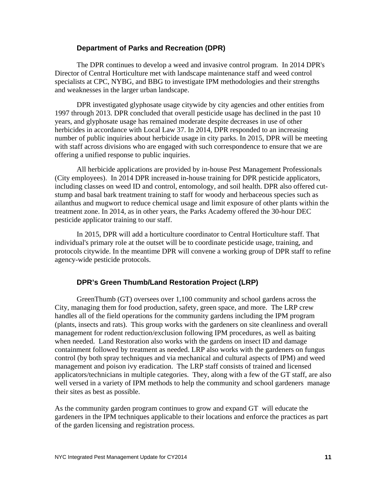#### **Department of Parks and Recreation (DPR)**

 The DPR continues to develop a weed and invasive control program. In 2014 DPR's Director of Central Horticulture met with landscape maintenance staff and weed control specialists at CPC, NYBG, and BBG to investigate IPM methodologies and their strengths and weaknesses in the larger urban landscape.

 DPR investigated glyphosate usage citywide by city agencies and other entities from 1997 through 2013. DPR concluded that overall pesticide usage has declined in the past 10 years, and glyphosate usage has remained moderate despite decreases in use of other herbicides in accordance with Local Law 37. In 2014, DPR responded to an increasing number of public inquiries about herbicide usage in city parks. In 2015, DPR will be meeting with staff across divisions who are engaged with such correspondence to ensure that we are offering a unified response to public inquiries.

 All herbicide applications are provided by in-house Pest Management Professionals (City employees). In 2014 DPR increased in-house training for DPR pesticide applicators, including classes on weed ID and control, entomology, and soil health. DPR also offered cutstump and basal bark treatment training to staff for woody and herbaceous species such as ailanthus and mugwort to reduce chemical usage and limit exposure of other plants within the treatment zone. In 2014, as in other years, the Parks Academy offered the 30-hour DEC pesticide applicator training to our staff.

 In 2015, DPR will add a horticulture coordinator to Central Horticulture staff. That individual's primary role at the outset will be to coordinate pesticide usage, training, and protocols citywide. In the meantime DPR will convene a working group of DPR staff to refine agency-wide pesticide protocols.

#### **DPR's Green Thumb/Land Restoration Project (LRP)**

 GreenThumb (GT) oversees over 1,100 community and school gardens across the City, managing them for food production, safety, green space, and more. The LRP crew handles all of the field operations for the community gardens including the IPM program (plants, insects and rats). This group works with the gardeners on site cleanliness and overall management for rodent reduction/exclusion following IPM procedures, as well as baiting when needed. Land Restoration also works with the gardens on insect ID and damage containment followed by treatment as needed. LRP also works with the gardeners on fungus control (by both spray techniques and via mechanical and cultural aspects of IPM) and weed management and poison ivy eradication. The LRP staff consists of trained and licensed applicators/technicians in multiple categories. They, along with a few of the GT staff, are also well versed in a variety of IPM methods to help the community and school gardeners manage their sites as best as possible.

As the community garden program continues to grow and expand GT will educate the gardeners in the IPM techniques applicable to their locations and enforce the practices as part of the garden licensing and registration process.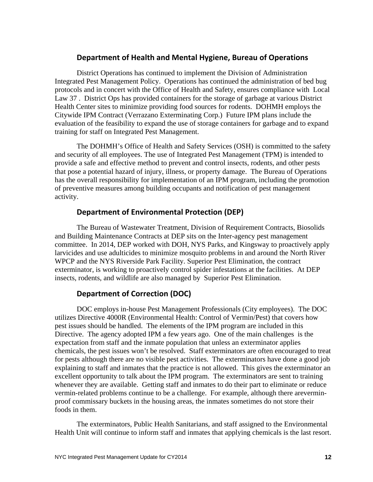# **Department of Health and Mental Hygiene, Bureau of Operations**

 District Operations has continued to implement the Division of Administration Integrated Pest Management Policy. Operations has continued the administration of bed bug protocols and in concert with the Office of Health and Safety, ensures compliance with Local Law 37 . District Ops has provided containers for the storage of garbage at various District Health Center sites to minimize providing food sources for rodents. DOHMH employs the Citywide IPM Contract (Verrazano Exterminating Corp.) Future IPM plans include the evaluation of the feasibility to expand the use of storage containers for garbage and to expand training for staff on Integrated Pest Management.

 The DOHMH's Office of Health and Safety Services (OSH) is committed to the safety and security of all employees. The use of Integrated Pest Management (TPM) is intended to provide a safe and effective method to prevent and control insects, rodents, and other pests that pose a potential hazard of injury, illness, or property damage. The Bureau of Operations has the overall responsibility for implementation of an IPM program, including the promotion of preventive measures among building occupants and notification of pest management activity.

# **Department of Environmental Protection (DEP)**

 The Bureau of Wastewater Treatment, Division of Requirement Contracts, Biosolids and Building Maintenance Contracts at DEP sits on the Inter-agency pest management committee. In 2014, DEP worked with DOH, NYS Parks, and Kingsway to proactively apply larvicides and use adulticides to minimize mosquito problems in and around the North River WPCP and the NYS Riverside Park Facility. Superior Pest Elimination, the contract exterminator, is working to proactively control spider infestations at the facilities. At DEP insects, rodents, and wildlife are also managed by Superior Pest Elimination.

# **Department of Correction (DOC)**

 DOC employs in-house Pest Management Professionals (City employees). The DOC utilizes Directive 4000R (Environmental Health: Control of Vermin/Pest) that covers how pest issues should be handled. The elements of the IPM program are included in this Directive. The agency adopted IPM a few years ago. One of the main challenges is the expectation from staff and the inmate population that unless an exterminator applies chemicals, the pest issues won't be resolved. Staff exterminators are often encouraged to treat for pests although there are no visible pest activities. The exterminators have done a good job explaining to staff and inmates that the practice is not allowed. This gives the exterminator an excellent opportunity to talk about the IPM program. The exterminators are sent to training whenever they are available. Getting staff and inmates to do their part to eliminate or reduce vermin-related problems continue to be a challenge. For example, although there areverminproof commissary buckets in the housing areas, the inmates sometimes do not store their foods in them.

 The exterminators, Public Health Sanitarians, and staff assigned to the Environmental Health Unit will continue to inform staff and inmates that applying chemicals is the last resort.